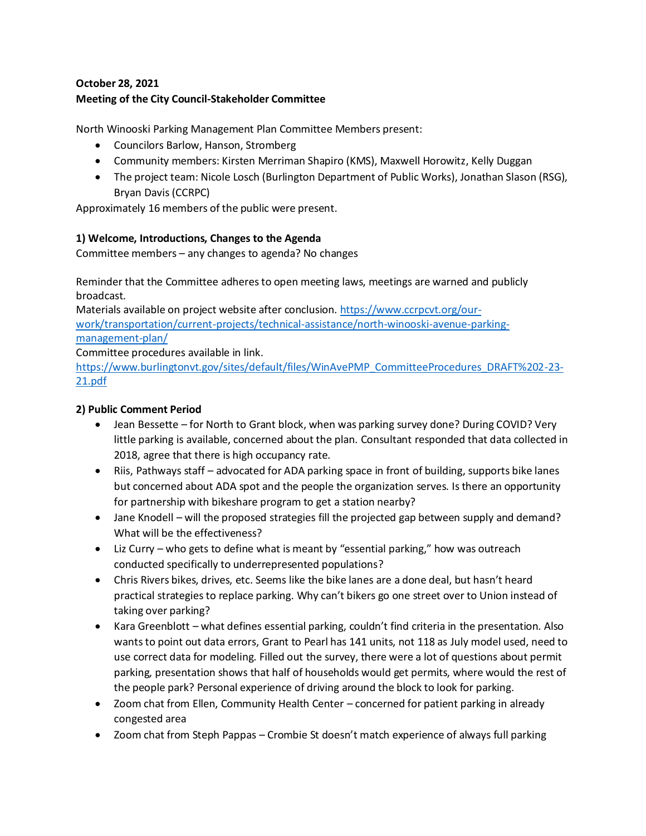# **October 28, 2021 Meeting of the City Council-Stakeholder Committee**

North Winooski Parking Management Plan Committee Members present:

- Councilors Barlow, Hanson, Stromberg
- Community members: Kirsten Merriman Shapiro (KMS), Maxwell Horowitz, Kelly Duggan
- The project team: Nicole Losch (Burlington Department of Public Works), Jonathan Slason (RSG), Bryan Davis(CCRPC)

Approximately 16 members of the public were present.

#### **1) Welcome, Introductions, Changes to the Agenda**

Committee members – any changes to agenda? No changes

Reminder that the Committee adheres to open meeting laws, meetings are warned and publicly broadcast.

Materials available on project website after conclusion. [https://www.ccrpcvt.org/our](https://www.ccrpcvt.org/our-work/transportation/current-projects/technical-assistance/north-winooski-avenue-parking-management-plan/)[work/transportation/current-projects/technical-assistance/north-winooski-avenue-parking](https://www.ccrpcvt.org/our-work/transportation/current-projects/technical-assistance/north-winooski-avenue-parking-management-plan/)[management-plan/](https://www.ccrpcvt.org/our-work/transportation/current-projects/technical-assistance/north-winooski-avenue-parking-management-plan/)

Committee procedures available in link.

[https://www.burlingtonvt.gov/sites/default/files/WinAvePMP\\_CommitteeProcedures\\_DRAFT%202-23-](https://www.burlingtonvt.gov/sites/default/files/WinAvePMP_CommitteeProcedures_DRAFT%202-23-21.pdf) [21.pdf](https://www.burlingtonvt.gov/sites/default/files/WinAvePMP_CommitteeProcedures_DRAFT%202-23-21.pdf)

# **2) Public Comment Period**

- Jean Bessette for North to Grant block, when was parking survey done? During COVID? Very little parking is available, concerned about the plan. Consultant responded that data collected in 2018, agree that there is high occupancy rate.
- Riis, Pathways staff advocated for ADA parking space in front of building, supports bike lanes but concerned about ADA spot and the people the organization serves. Is there an opportunity for partnership with bikeshare program to get a station nearby?
- Jane Knodell will the proposed strategies fill the projected gap between supply and demand? What will be the effectiveness?
- Liz Curry who gets to define what is meant by "essential parking," how was outreach conducted specifically to underrepresented populations?
- Chris Rivers bikes, drives, etc. Seems like the bike lanes are a done deal, but hasn't heard practical strategies to replace parking. Why can't bikers go one street over to Union instead of taking over parking?
- Kara Greenblott what defines essential parking, couldn't find criteria in the presentation. Also wants to point out data errors, Grant to Pearl has 141 units, not 118 as July model used, need to use correct data for modeling. Filled out the survey, there were a lot of questions about permit parking, presentation shows that half of households would get permits, where would the rest of the people park? Personal experience of driving around the block to look for parking.
- Zoom chat from Ellen, Community Health Center concerned for patient parking in already congested area
- Zoom chat from Steph Pappas Crombie St doesn't match experience of always full parking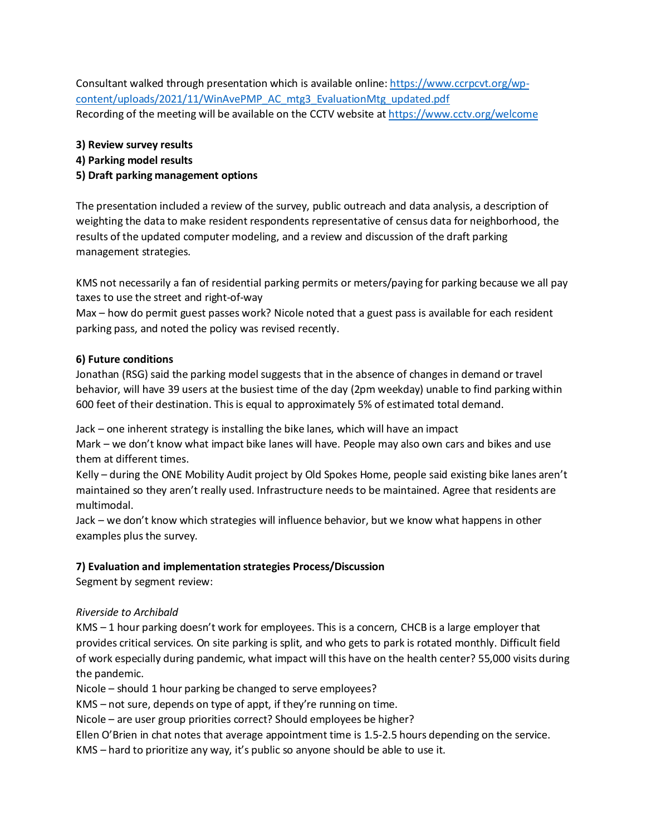Consultant walked through presentation which is available online: [https://www.ccrpcvt.org/wp](https://www.ccrpcvt.org/wp-content/uploads/2021/11/WinAvePMP_AC_mtg3_EvaluationMtg_updated.pdf)[content/uploads/2021/11/WinAvePMP\\_AC\\_mtg3\\_EvaluationMtg\\_updated.pdf](https://www.ccrpcvt.org/wp-content/uploads/2021/11/WinAvePMP_AC_mtg3_EvaluationMtg_updated.pdf) Recording of the meeting will be available on the CCTV website at <https://www.cctv.org/welcome>

**3) Review survey results** 

### **4) Parking model results**

### **5) Draft parking management options**

The presentation included a review of the survey, public outreach and data analysis, a description of weighting the data to make resident respondents representative of census data for neighborhood, the results of the updated computer modeling, and a review and discussion of the draft parking management strategies.

KMS not necessarily a fan of residential parking permits or meters/paying for parking because we all pay taxes to use the street and right-of-way

Max – how do permit guest passes work? Nicole noted that a guest pass is available for each resident parking pass, and noted the policy was revised recently.

#### **6) Future conditions**

Jonathan (RSG) said the parking model suggests that in the absence of changes in demand or travel behavior, will have 39 users at the busiest time of the day (2pm weekday) unable to find parking within 600 feet of their destination. This is equal to approximately 5% of estimated total demand.

Jack – one inherent strategy is installing the bike lanes, which will have an impact

Mark – we don't know what impact bike lanes will have. People may also own cars and bikes and use them at different times.

Kelly – during the ONE Mobility Audit project by Old Spokes Home, people said existing bike lanes aren't maintained so they aren't really used. Infrastructure needs to be maintained. Agree that residents are multimodal.

Jack – we don't know which strategies will influence behavior, but we know what happens in other examples plus the survey.

# **7) Evaluation and implementation strategies Process/Discussion**

Segment by segment review:

# *Riverside to Archibald*

KMS – 1 hour parking doesn't work for employees. This is a concern, CHCB is a large employer that provides critical services. On site parking is split, and who gets to park is rotated monthly. Difficult field of work especially during pandemic, what impact will this have on the health center? 55,000 visits during the pandemic.

Nicole – should 1 hour parking be changed to serve employees?

KMS – not sure, depends on type of appt, if they're running on time.

Nicole – are user group priorities correct? Should employees be higher?

Ellen O'Brien in chat notes that average appointment time is 1.5-2.5 hours depending on the service.

KMS – hard to prioritize any way, it's public so anyone should be able to use it.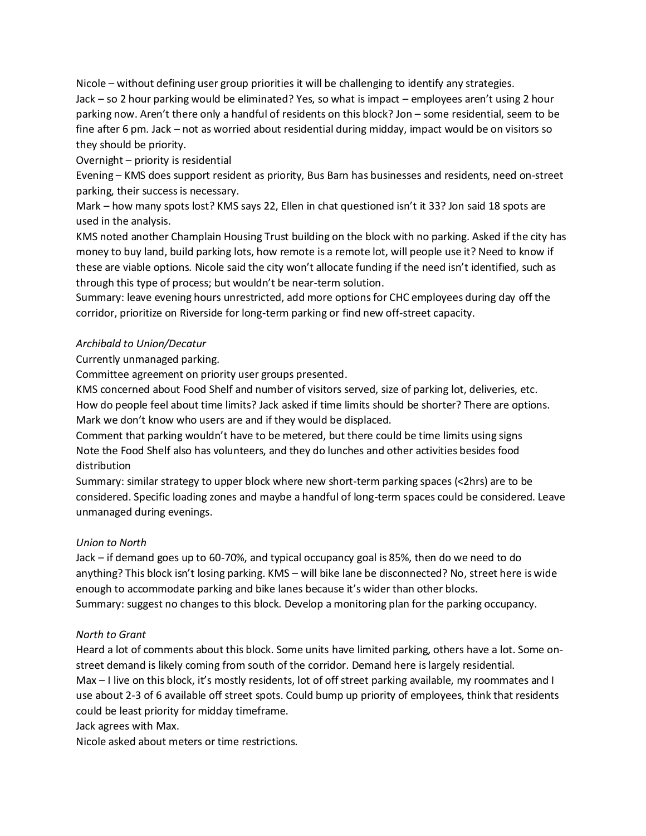Nicole – without defining user group priorities it will be challenging to identify any strategies. Jack – so 2 hour parking would be eliminated? Yes, so what is impact – employees aren't using 2 hour parking now. Aren't there only a handful of residents on this block? Jon – some residential, seem to be fine after 6 pm. Jack – not as worried about residential during midday, impact would be on visitors so they should be priority.

Overnight – priority is residential

Evening – KMS does support resident as priority, Bus Barn has businesses and residents, need on-street parking, their success is necessary.

Mark – how many spots lost? KMS says 22, Ellen in chat questioned isn't it 33? Jon said 18 spots are used in the analysis.

KMS noted another Champlain Housing Trust building on the block with no parking. Asked if the city has money to buy land, build parking lots, how remote is a remote lot, will people use it? Need to know if these are viable options. Nicole said the city won't allocate funding if the need isn't identified, such as through this type of process; but wouldn't be near-term solution.

Summary: leave evening hours unrestricted, add more options for CHC employees during day off the corridor, prioritize on Riverside for long-term parking or find new off-street capacity.

# *Archibald to Union/Decatur*

Currently unmanaged parking.

Committee agreement on priority user groups presented.

KMS concerned about Food Shelf and number of visitors served, size of parking lot, deliveries, etc. How do people feel about time limits? Jack asked if time limits should be shorter? There are options. Mark we don't know who users are and if they would be displaced.

Comment that parking wouldn't have to be metered, but there could be time limits using signs Note the Food Shelf also has volunteers, and they do lunches and other activities besides food distribution

Summary: similar strategy to upper block where new short-term parking spaces (<2hrs) are to be considered. Specific loading zones and maybe a handful of long-term spaces could be considered. Leave unmanaged during evenings.

# *Union to North*

Jack – if demand goes up to 60-70%, and typical occupancy goal is 85%, then do we need to do anything? This block isn't losing parking. KMS – will bike lane be disconnected? No, street here is wide enough to accommodate parking and bike lanes because it's wider than other blocks. Summary: suggest no changes to this block. Develop a monitoring plan for the parking occupancy.

# *North to Grant*

Heard a lot of comments about this block. Some units have limited parking, others have a lot. Some onstreet demand is likely coming from south of the corridor. Demand here is largely residential. Max – I live on this block, it's mostly residents, lot of off street parking available, my roommates and I use about 2-3 of 6 available off street spots. Could bump up priority of employees, think that residents could be least priority for midday timeframe.

Jack agrees with Max.

Nicole asked about meters or time restrictions.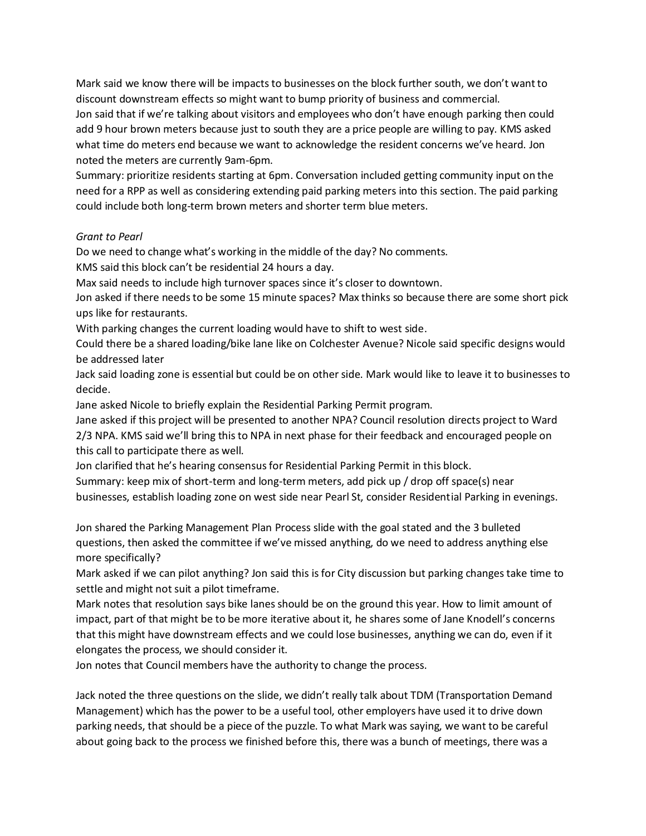Mark said we know there will be impacts to businesses on the block further south, we don't want to discount downstream effects so might want to bump priority of business and commercial.

Jon said that if we're talking about visitors and employees who don't have enough parking then could add 9 hour brown meters because just to south they are a price people are willing to pay. KMS asked what time do meters end because we want to acknowledge the resident concerns we've heard. Jon noted the meters are currently 9am-6pm.

Summary: prioritize residents starting at 6pm. Conversation included getting community input on the need for a RPP as well as considering extending paid parking meters into this section. The paid parking could include both long-term brown meters and shorter term blue meters.

#### *Grant to Pearl*

Do we need to change what's working in the middle of the day? No comments.

KMS said this block can't be residential 24 hours a day.

Max said needs to include high turnover spaces since it's closer to downtown.

Jon asked if there needs to be some 15 minute spaces? Max thinks so because there are some short pick ups like for restaurants.

With parking changes the current loading would have to shift to west side.

Could there be a shared loading/bike lane like on Colchester Avenue? Nicole said specific designs would be addressed later

Jack said loading zone is essential but could be on other side. Mark would like to leave it to businesses to decide.

Jane asked Nicole to briefly explain the Residential Parking Permit program.

Jane asked if this project will be presented to another NPA? Council resolution directs project to Ward 2/3 NPA. KMS said we'll bring this to NPA in next phase for their feedback and encouraged people on this call to participate there as well.

Jon clarified that he's hearing consensus for Residential Parking Permit in this block.

Summary: keep mix of short-term and long-term meters, add pick up / drop off space(s) near businesses, establish loading zone on west side near Pearl St, consider Residential Parking in evenings.

Jon shared the Parking Management Plan Process slide with the goal stated and the 3 bulleted questions, then asked the committee if we've missed anything, do we need to address anything else more specifically?

Mark asked if we can pilot anything? Jon said this is for City discussion but parking changes take time to settle and might not suit a pilot timeframe.

Mark notes that resolution says bike lanes should be on the ground this year. How to limit amount of impact, part of that might be to be more iterative about it, he shares some of Jane Knodell's concerns that this might have downstream effects and we could lose businesses, anything we can do, even if it elongates the process, we should consider it.

Jon notes that Council members have the authority to change the process.

Jack noted the three questions on the slide, we didn't really talk about TDM (Transportation Demand Management) which has the power to be a useful tool, other employers have used it to drive down parking needs, that should be a piece of the puzzle. To what Mark was saying, we want to be careful about going back to the process we finished before this, there was a bunch of meetings, there was a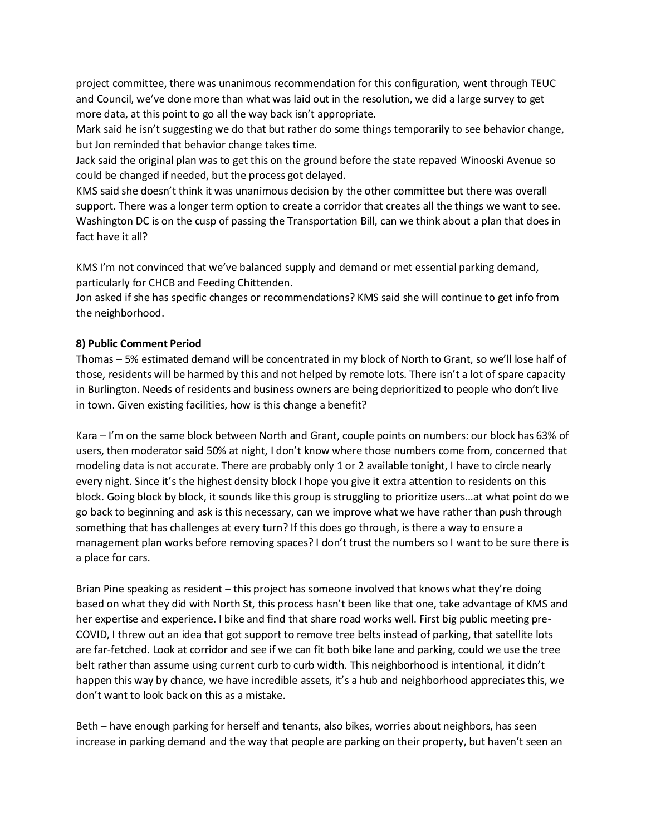project committee, there was unanimous recommendation for this configuration, went through TEUC and Council, we've done more than what was laid out in the resolution, we did a large survey to get more data, at this point to go all the way back isn't appropriate.

Mark said he isn't suggesting we do that but rather do some things temporarily to see behavior change, but Jon reminded that behavior change takes time.

Jack said the original plan was to get this on the ground before the state repaved Winooski Avenue so could be changed if needed, but the process got delayed.

KMS said she doesn't think it was unanimous decision by the other committee but there was overall support. There was a longer term option to create a corridor that creates all the things we want to see. Washington DC is on the cusp of passing the Transportation Bill, can we think about a plan that does in fact have it all?

KMS I'm not convinced that we've balanced supply and demand or met essential parking demand, particularly for CHCB and Feeding Chittenden.

Jon asked if she has specific changes or recommendations? KMS said she will continue to get info from the neighborhood.

# **8) Public Comment Period**

Thomas – 5% estimated demand will be concentrated in my block of North to Grant, so we'll lose half of those, residents will be harmed by this and not helped by remote lots. There isn't a lot of spare capacity in Burlington. Needs of residents and business owners are being deprioritized to people who don't live in town. Given existing facilities, how is this change a benefit?

Kara – I'm on the same block between North and Grant, couple points on numbers: our block has 63% of users, then moderator said 50% at night, I don't know where those numbers come from, concerned that modeling data is not accurate. There are probably only 1 or 2 available tonight, I have to circle nearly every night. Since it's the highest density block I hope you give it extra attention to residents on this block. Going block by block, it sounds like this group is struggling to prioritize users…at what point do we go back to beginning and ask is this necessary, can we improve what we have rather than push through something that has challenges at every turn? If this does go through, is there a way to ensure a management plan works before removing spaces? I don't trust the numbers so I want to be sure there is a place for cars.

Brian Pine speaking as resident – this project has someone involved that knows what they're doing based on what they did with North St, this process hasn't been like that one, take advantage of KMS and her expertise and experience. I bike and find that share road works well. First big public meeting pre-COVID, I threw out an idea that got support to remove tree belts instead of parking, that satellite lots are far-fetched. Look at corridor and see if we can fit both bike lane and parking, could we use the tree belt rather than assume using current curb to curb width. This neighborhood is intentional, it didn't happen this way by chance, we have incredible assets, it's a hub and neighborhood appreciates this, we don't want to look back on this as a mistake.

Beth – have enough parking for herself and tenants, also bikes, worries about neighbors, has seen increase in parking demand and the way that people are parking on their property, but haven't seen an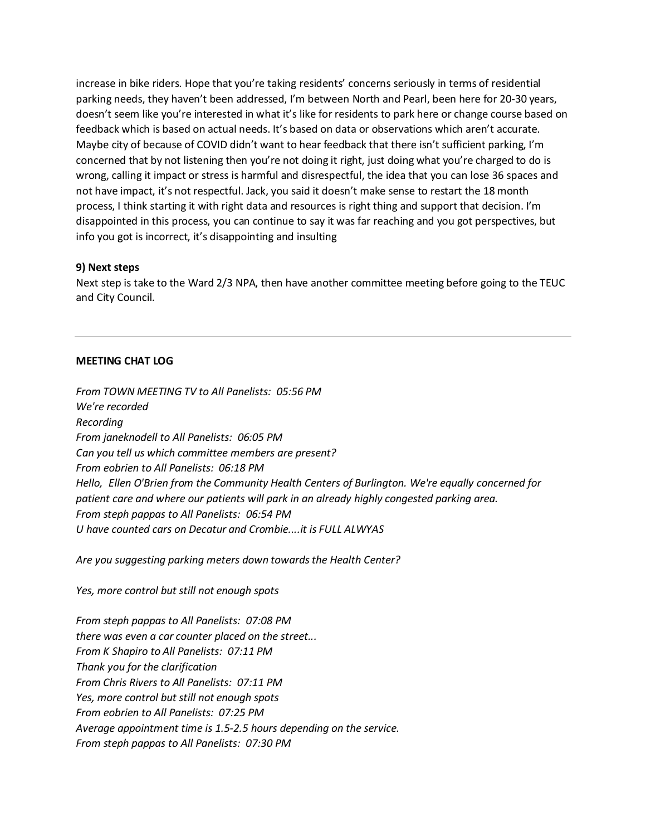increase in bike riders. Hope that you're taking residents' concerns seriously in terms of residential parking needs, they haven't been addressed, I'm between North and Pearl, been here for 20-30 years, doesn't seem like you're interested in what it's like for residents to park here or change course based on feedback which is based on actual needs. It's based on data or observations which aren't accurate. Maybe city of because of COVID didn't want to hear feedback that there isn't sufficient parking, I'm concerned that by not listening then you're not doing it right, just doing what you're charged to do is wrong, calling it impact or stress is harmful and disrespectful, the idea that you can lose 36 spaces and not have impact, it's not respectful. Jack, you said it doesn't make sense to restart the 18 month process, I think starting it with right data and resources is right thing and support that decision. I'm disappointed in this process, you can continue to say it was far reaching and you got perspectives, but info you got is incorrect, it's disappointing and insulting

#### **9) Next steps**

Next step is take to the Ward 2/3 NPA, then have another committee meeting before going to the TEUC and City Council.

#### **MEETING CHAT LOG**

*From TOWN MEETING TV to All Panelists: 05:56 PM We're recorded Recording From janeknodell to All Panelists: 06:05 PM Can you tell us which committee members are present? From eobrien to All Panelists: 06:18 PM Hello, Ellen O'Brien from the Community Health Centers of Burlington. We're equally concerned for patient care and where our patients will park in an already highly congested parking area. From steph pappas to All Panelists: 06:54 PM U have counted cars on Decatur and Crombie....it is FULL ALWYAS*

*Are you suggesting parking meters down towards the Health Center?*

*Yes, more control but still not enough spots*

*From steph pappas to All Panelists: 07:08 PM there was even a car counter placed on the street... From K Shapiro to All Panelists: 07:11 PM Thank you for the clarification From Chris Rivers to All Panelists: 07:11 PM Yes, more control but still not enough spots From eobrien to All Panelists: 07:25 PM Average appointment time is 1.5-2.5 hours depending on the service. From steph pappas to All Panelists: 07:30 PM*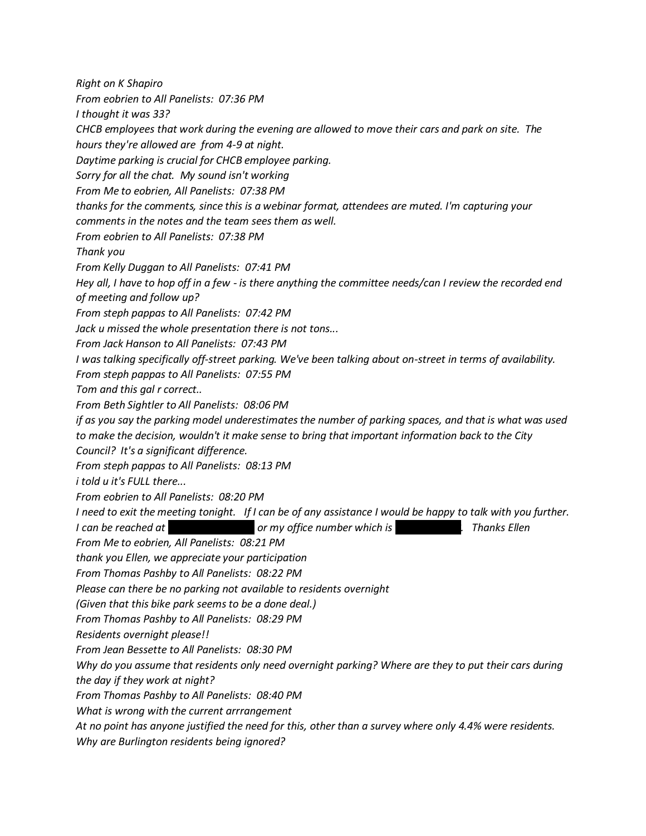*Right on K Shapiro From eobrien to All Panelists: 07:36 PM I thought it was 33? CHCB employees that work during the evening are allowed to move their cars and park on site. The hours they're allowed are from 4-9 at night. Daytime parking is crucial for CHCB employee parking. Sorry for all the chat. My sound isn't working From Me to eobrien, All Panelists: 07:38 PM thanks for the comments, since this is a webinar format, attendees are muted. I'm capturing your comments in the notes and the team sees them as well. From eobrien to All Panelists: 07:38 PM Thank you From Kelly Duggan to All Panelists: 07:41 PM Hey all, I have to hop off in a few - is there anything the committee needs/can I review the recorded end of meeting and follow up? From steph pappas to All Panelists: 07:42 PM Jack u missed the whole presentation there is not tons... From Jack Hanson to All Panelists: 07:43 PM I was talking specifically off-street parking. We've been talking about on-street in terms of availability. From steph pappas to All Panelists: 07:55 PM Tom and this gal r correct.. From Beth Sightler to All Panelists: 08:06 PM if as you say the parking model underestimates the number of parking spaces, and that is what was used to make the decision, wouldn't it make sense to bring that important information back to the City Council? It's a significant difference. From steph pappas to All Panelists: 08:13 PM i told u it's FULL there... From eobrien to All Panelists: 08:20 PM I need to exit the meeting tonight. If I can be of any assistance I would be happy to talk with you further. I* can be reached at each *or my office number which is* 802-815. Thanks Ellen *From Me to eobrien, All Panelists: 08:21 PM thank you Ellen, we appreciate your participation From Thomas Pashby to All Panelists: 08:22 PM Please can there be no parking not available to residents overnight (Given that this bike park seems to be a done deal.) From Thomas Pashby to All Panelists: 08:29 PM Residents overnight please!! From Jean Bessette to All Panelists: 08:30 PM Why do you assume that residents only need overnight parking? Where are they to put their cars during the day if they work at night? From Thomas Pashby to All Panelists: 08:40 PM What is wrong with the current arrrangement At no point has anyone justified the need for this, other than a survey where only 4.4% were residents. Why are Burlington residents being ignored?*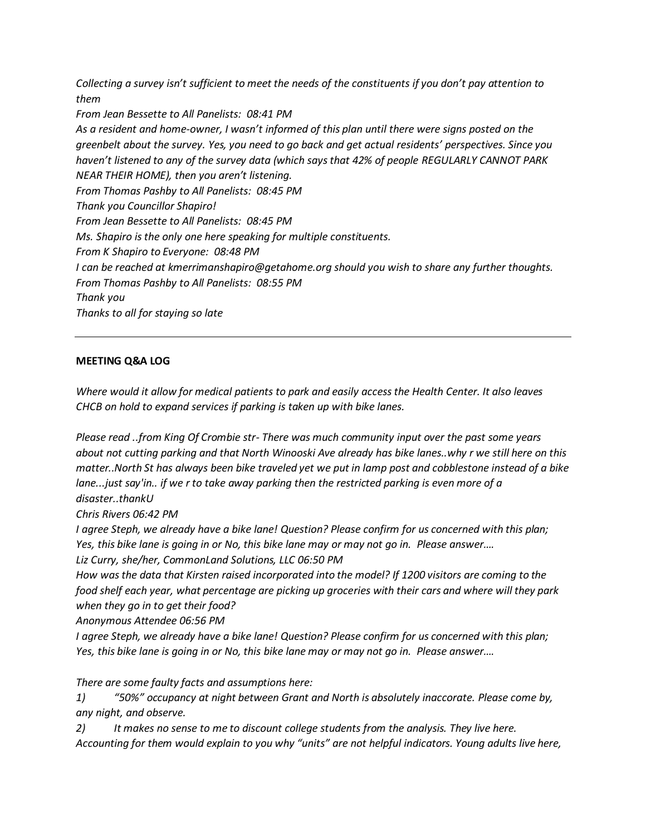*Collecting a survey isn't sufficient to meet the needs of the constituents if you don't pay attention to them From Jean Bessette to All Panelists: 08:41 PM As a resident and home-owner, I wasn't informed of this plan until there were signs posted on the greenbelt about the survey. Yes, you need to go back and get actual residents' perspectives. Since you haven't listened to any of the survey data (which says that 42% of people REGULARLY CANNOT PARK NEAR THEIR HOME), then you aren't listening. From Thomas Pashby to All Panelists: 08:45 PM Thank you Councillor Shapiro! From Jean Bessette to All Panelists: 08:45 PM Ms. Shapiro is the only one here speaking for multiple constituents. From K Shapiro to Everyone: 08:48 PM I can be reached at kmerrimanshapiro@getahome.org should you wish to share any further thoughts. From Thomas Pashby to All Panelists: 08:55 PM Thank you Thanks to all for staying so late*

#### **MEETING Q&A LOG**

*Where would it allow for medical patients to park and easily access the Health Center. It also leaves CHCB on hold to expand services if parking is taken up with bike lanes.*

*Please read ..from King Of Crombie str- There was much community input over the past some years about not cutting parking and that North Winooski Ave already has bike lanes..why r we still here on this matter..North St has always been bike traveled yet we put in lamp post and cobblestone instead of a bike lane...just say'in.. if we r to take away parking then the restricted parking is even more of a disaster..thankU*

*Chris Rivers 06:42 PM* 

*I agree Steph, we already have a bike lane! Question? Please confirm for us concerned with this plan; Yes, this bike lane is going in or No, this bike lane may or may not go in. Please answer….*

*Liz Curry, she/her, CommonLand Solutions, LLC 06:50 PM* 

*How was the data that Kirsten raised incorporated into the model? If 1200 visitors are coming to the food shelf each year, what percentage are picking up groceries with their cars and where will they park when they go in to get their food?*

*Anonymous Attendee 06:56 PM* 

*I agree Steph, we already have a bike lane! Question? Please confirm for us concerned with this plan; Yes, this bike lane is going in or No, this bike lane may or may not go in. Please answer….*

*There are some faulty facts and assumptions here:*

*1) "50%" occupancy at night between Grant and North is absolutely inaccorate. Please come by, any night, and observe.* 

*2) It makes no sense to me to discount college students from the analysis. They live here. Accounting for them would explain to you why "units" are not helpful indicators. Young adults live here,*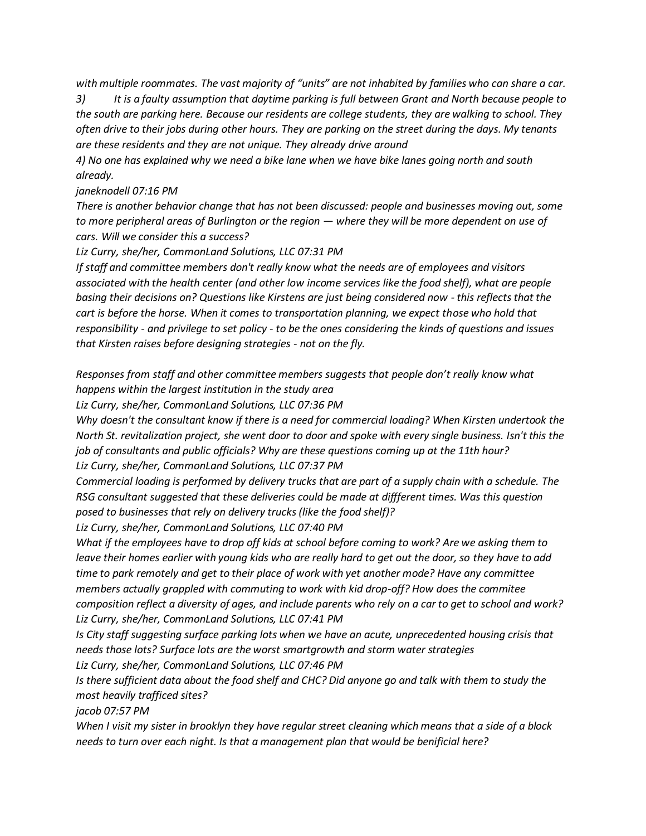*with multiple roommates. The vast majority of "units" are not inhabited by families who can share a car.* 

*3) It is a faulty assumption that daytime parking is full between Grant and North because people to the south are parking here. Because our residents are college students, they are walking to school. They often drive to their jobs during other hours. They are parking on the street during the days. My tenants are these residents and they are not unique. They already drive around* 

*4) No one has explained why we need a bike lane when we have bike lanes going north and south already.*

#### *janeknodell 07:16 PM*

*There is another behavior change that has not been discussed: people and businesses moving out, some to more peripheral areas of Burlington or the region — where they will be more dependent on use of cars. Will we consider this a success?*

*Liz Curry, she/her, CommonLand Solutions, LLC 07:31 PM* 

*If staff and committee members don't really know what the needs are of employees and visitors associated with the health center (and other low income services like the food shelf), what are people basing their decisions on? Questions like Kirstens are just being considered now - this reflects that the*  cart is before the horse. When it comes to transportation planning, we expect those who hold that *responsibility - and privilege to set policy - to be the ones considering the kinds of questions and issues that Kirsten raises before designing strategies - not on the fly.* 

*Responses from staff and other committee members suggests that people don't really know what happens within the largest institution in the study area*

*Liz Curry, she/her, CommonLand Solutions, LLC 07:36 PM* 

*Why doesn't the consultant know if there is a need for commercial loading? When Kirsten undertook the North St. revitalization project, she went door to door and spoke with every single business. Isn't this the job of consultants and public officials? Why are these questions coming up at the 11th hour? Liz Curry, she/her, CommonLand Solutions, LLC 07:37 PM* 

*Commercial loading is performed by delivery trucks that are part of a supply chain with a schedule. The RSG consultant suggested that these deliveries could be made at diffferent times. Was this question posed to businesses that rely on delivery trucks (like the food shelf)?*

*Liz Curry, she/her, CommonLand Solutions, LLC 07:40 PM* 

*What if the employees have to drop off kids at school before coming to work? Are we asking them to leave their homes earlier with young kids who are really hard to get out the door, so they have to add time to park remotely and get to their place of work with yet another mode? Have any committee members actually grappled with commuting to work with kid drop-off? How does the commitee composition reflect a diversity of ages, and include parents who rely on a car to get to school and work? Liz Curry, she/her, CommonLand Solutions, LLC 07:41 PM* 

*Is City staff suggesting surface parking lots when we have an acute, unprecedented housing crisis that needs those lots? Surface lots are the worst smartgrowth and storm water strategies Liz Curry, she/her, CommonLand Solutions, LLC 07:46 PM* 

*Is there sufficient data about the food shelf and CHC? Did anyone go and talk with them to study the most heavily trafficed sites?*

*jacob 07:57 PM* 

*When I visit my sister in brooklyn they have regular street cleaning which means that a side of a block needs to turn over each night. Is that a management plan that would be benificial here?*